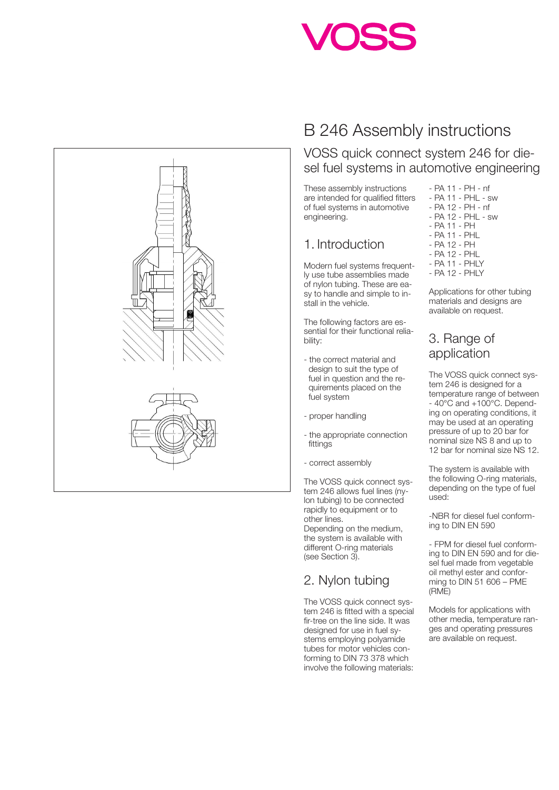



# B 246 Assembly instructions

VOSS quick connect system 246 for diesel fuel systems in automotive engineering

These assembly instructions are intended for qualified fitters of fuel systems in automotive engineering.

### 1. Introduction

Modern fuel systems frequently use tube assemblies made of nylon tubing. These are easy to handle and simple to install in the vehicle.

The following factors are essential for their functional reliability:

- the correct material and design to suit the type of fuel in question and the requirements placed on the fuel system
- proper handling
- the appropriate connection fittings
- correct assembly

The VOSS quick connect system 246 allows fuel lines (nylon tubing) to be connected rapidly to equipment or to other lines.

Depending on the medium, the system is available with different O-ring materials (see Section 3).

# 2. Nylon tubing

The VOSS quick connect system 246 is fitted with a special fir-tree on the line side. It was designed for use in fuel systems employing polyamide tubes for motor vehicles conforming to DIN 73 378 which involve the following materials:

- PA 11 PH nf
- PA 11 PHL sw
- PA 12 PH nf
- PA 12 PHL sw
- PA 11 PH
- PA 11 PHL
- PA 12 PH - PA 12 - PHL
- PA 11 PHLY
- PA 12 PHLY

Applications for other tubing materials and designs are available on request.

# 3. Range of application

The VOSS quick connect system 246 is designed for a temperature range of between  $-40^{\circ}$ C and  $+100^{\circ}$ C. Depending on operating conditions, it may be used at an operating pressure of up to 20 bar for nominal size NS 8 and up to 12 bar for nominal size NS 12.

The system is available with the following O-ring materials, depending on the type of fuel used:

-NBR for diesel fuel conforming to DIN EN 590

- FPM for diesel fuel conforming to DIN EN 590 and for diesel fuel made from vegetable oil methyl ester and conforming to DIN 51 606 – PME (RME)

Models for applications with other media, temperature ranges and operating pressures are available on request.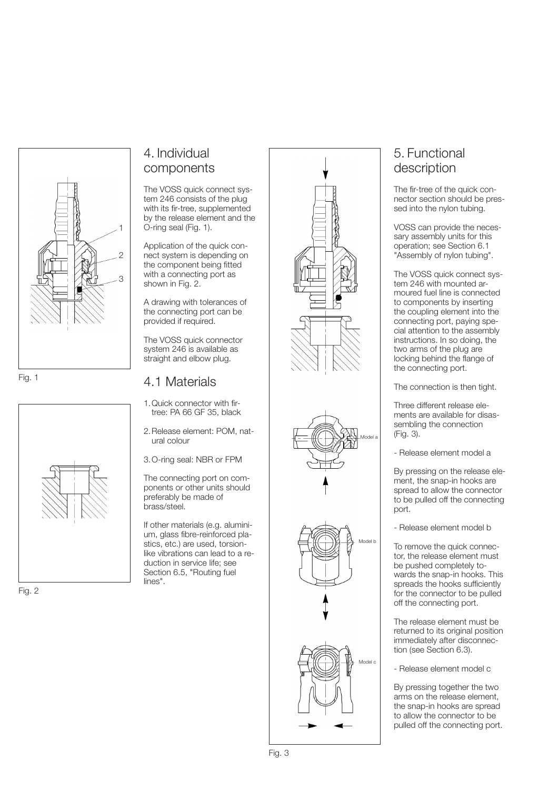

Fig. 1



# 4. Individual components

The VOSS quick connect system 246 consists of the plug with its fir-tree, supplemented by the release element and the O-ring seal (Fig. 1).

Application of the quick connect system is depending on the component being fitted with a connecting port as shown in Fig. 2.

A drawing with tolerances of the connecting port can be provided if required.

The VOSS quick connector system 246 is available as straight and elbow plug.

#### 4.1 Materials

- 1.Quick connector with firtree: PA 66 GF 35, black
- 2.Release element: POM, natural colour
- 3.O-ring seal: NBR or FPM

The connecting port on components or other units should preferably be made of brass/steel.

If other materials (e.g. aluminium, glass fibre-reinforced plastics, etc.) are used, torsionlike vibrations can lead to a reduction in service life; see Section 6.5, "Routing fuel lines".







## 5. Functional description

The fir-tree of the quick connector section should be pressed into the nylon tubing.

VOSS can provide the necessary assembly units for this operation; see Section 6.1 "Assembly of nylon tubing".

The VOSS quick connect system 246 with mounted armoured fuel line is connected to components by inserting the coupling element into the connecting port, paying special attention to the assembly instructions. In so doing, the two arms of the plug are locking behind the flange of the connecting port.

The connection is then tight.

Three different release elements are available for disassembling the connection (Fig. 3).

- Release element model a

By pressing on the release element, the snap-in hooks are spread to allow the connector to be pulled off the connecting port.

- Release element model b

To remove the quick connector, the release element must be pushed completely towards the snap-in hooks. This spreads the hooks sufficiently for the connector to be pulled off the connecting port.

The release element must be returned to its original position immediately after disconnection (see Section 6.3).

- Release element model c

By pressing together the two arms on the release element, the snap-in hooks are spread to allow the connector to be pulled off the connecting port.

Fig. 2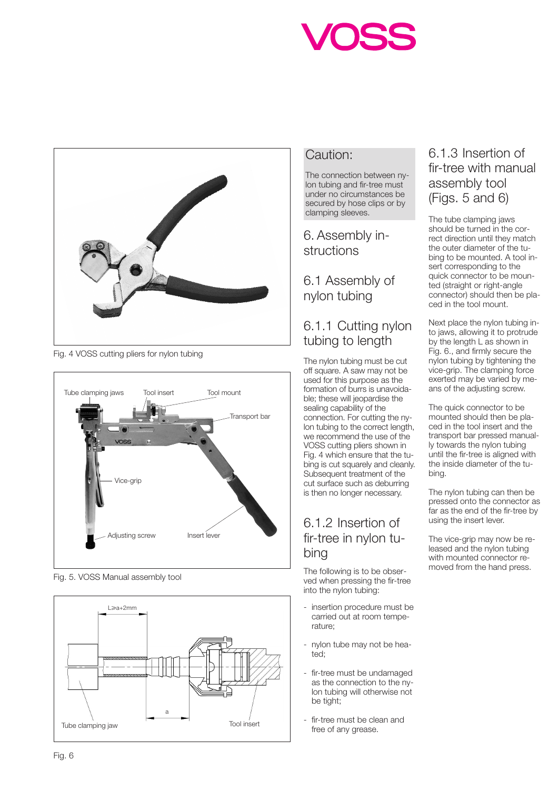



Fig. 4 VOSS cutting pliers for nylon tubing



Fig. 5. VOSS Manual assembly tool



#### Caution:

The connection between nylon tubing and fir-tree must under no circumstances be secured by hose clips or by clamping sleeves.

#### 6. Assembly instructions

6.1 Assembly of nylon tubing

## 6.1.1 Cutting nylon tubing to length

The nylon tubing must be cut off square. A saw may not be used for this purpose as the formation of burrs is unavoidable; these will jeopardise the sealing capability of the connection. For cutting the nylon tubing to the correct length, we recommend the use of the VOSS cutting pliers shown in Fig. 4 which ensure that the tubing is cut squarely and cleanly. Subsequent treatment of the cut surface such as deburring is then no longer necessary.

## 6.1.2 Insertion of fir-tree in nylon tubing

The following is to be observed when pressing the fir-tree into the nylon tubing:

- insertion procedure must be carried out at room temperature;
- nylon tube may not be heated;
- fir-tree must be undamaged as the connection to the nylon tubing will otherwise not be tight;
- fir-tree must be clean and free of any grease.

#### 6.1.3 Insertion of fir-tree with manual assembly tool (Figs. 5 and 6)

The tube clamping jaws should be turned in the correct direction until they match the outer diameter of the tubing to be mounted. A tool insert corresponding to the quick connector to be mounted (straight or right-angle connector) should then be placed in the tool mount.

Next place the nylon tubing into jaws, allowing it to protrude by the length L as shown in Fig. 6., and firmly secure the nylon tubing by tightening the vice-grip. The clamping force exerted may be varied by means of the adjusting screw.

The quick connector to be mounted should then be placed in the tool insert and the transport bar pressed manually towards the nylon tubing until the fir-tree is aligned with the inside diameter of the tubing.

The nylon tubing can then be pressed onto the connector as far as the end of the fir-tree by using the insert lever.

The vice-grip may now be released and the nylon tubing with mounted connector removed from the hand press.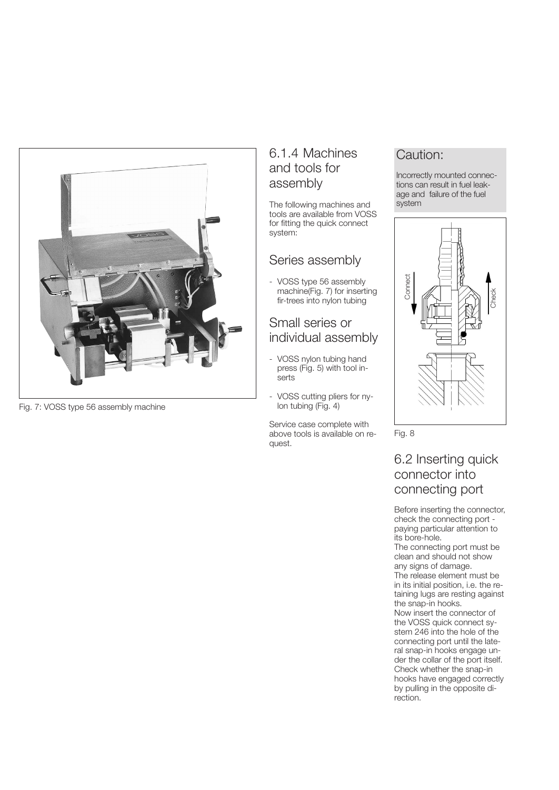

Fig. 7: VOSS type 56 assembly machine

#### 6.1.4 Machines and tools for assembly

The following machines and tools are available from VOSS for fitting the quick connect system:

#### Series assembly

- VOSS type 56 assembly machine(Fig. 7) for inserting fir-trees into nylon tubing

#### Small series or individual assembly

- VOSS nylon tubing hand press (Fig. 5) with tool inserts
- VOSS cutting pliers for nylon tubing (Fig. 4)

Service case complete with above tools is available on request.

## Caution:

Incorrectly mounted connections can result in fuel leakage and failure of the fuel system



Fig. 8

6.2 Inserting quick connector into connecting port

Before inserting the connector, check the connecting port paying particular attention to its bore-hole.

The connecting port must be clean and should not show any signs of damage. The release element must be in its initial position, i.e. the retaining lugs are resting against the snap-in hooks.

Now insert the connector of the VOSS quick connect system 246 into the hole of the connecting port until the lateral snap-in hooks engage under the collar of the port itself. Check whether the snap-in hooks have engaged correctly by pulling in the opposite di-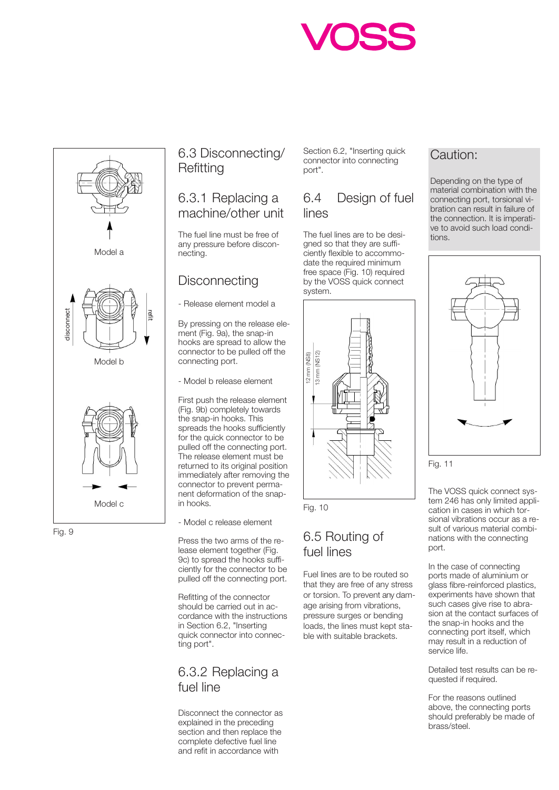



Fig. 9

## 6.3 Disconnecting/ **Refitting**

#### 6.3.1 Replacing a machine/other unit

The fuel line must be free of any pressure before disconnecting.

## **Disconnecting**

- Release element model a

By pressing on the release element (Fig. 9a), the snap-in hooks are spread to allow the connector to be pulled off the connecting port.

- Model b release element

First push the release element (Fig. 9b) completely towards the snap-in hooks. This spreads the hooks sufficiently for the quick connector to be pulled off the connecting port. The release element must be returned to its original position immediately after removing the connector to prevent permanent deformation of the snapin hooks. Model c | in hooks. Fig. 10

- Model c release element

Press the two arms of the release element together (Fig. 9c) to spread the hooks sufficiently for the connector to be pulled off the connecting port.

Refitting of the connector should be carried out in accordance with the instructions in Section 6.2, "Inserting quick connector into connecting port".

### 6.3.2 Replacing a fuel line

Disconnect the connector as explained in the preceding section and then replace the complete defective fuel line and refit in accordance with

Section 6.2, "Inserting quick connector into connecting port".

### 6.4 Design of fuel lines

The fuel lines are to be designed so that they are sufficiently flexible to accommodate the required minimum free space (Fig. 10) required by the VOSS quick connect system.





## 6.5 Routing of fuel lines

Fuel lines are to be routed so that they are free of any stress or torsion. To prevent any damage arising from vibrations, pressure surges or bending loads, the lines must kept stable with suitable brackets.

## Caution:

Depending on the type of material combination with the connecting port, torsional vibration can result in failure of the connection. It is imperative to avoid such load conditions.



Fig. 11

The VOSS quick connect system 246 has only limited application in cases in which torsional vibrations occur as a result of various material combinations with the connecting port.

In the case of connecting ports made of aluminium or glass fibre-reinforced plastics, experiments have shown that such cases give rise to abrasion at the contact surfaces of the snap-in hooks and the connecting port itself, which may result in a reduction of service life.

Detailed test results can be requested if required.

For the reasons outlined above, the connecting ports should preferably be made of brass/steel.